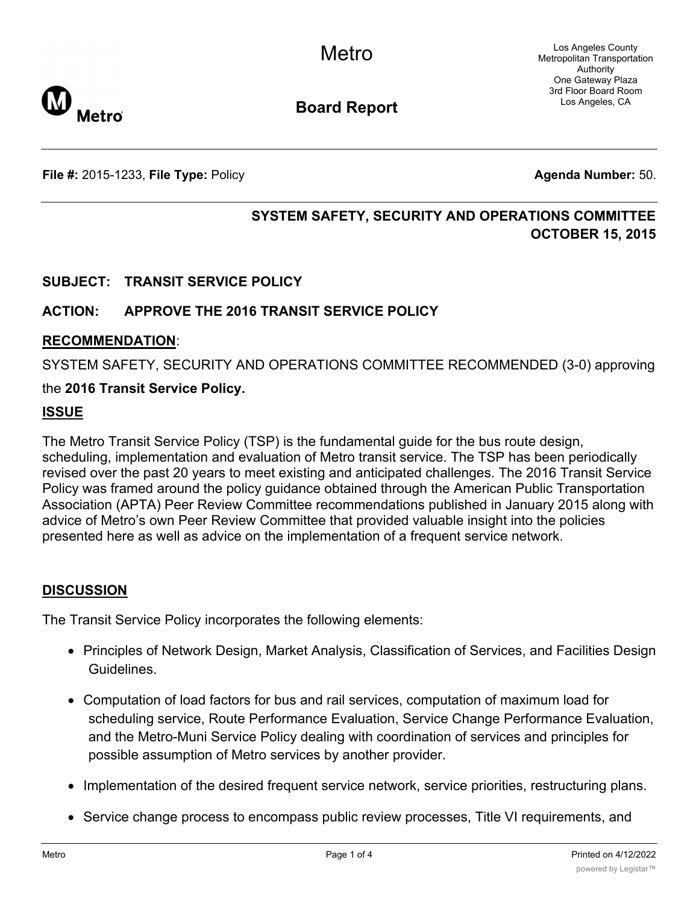Los Angeles County Metropolitan Transportation Authority One Gateway Plaza 3rd Floor Board Room Los Angeles, CA



**Board Report**

**File #:** 2015-1233, **File Type:** Policy **Agenda Number:** 50.

# **SYSTEM SAFETY, SECURITY AND OPERATIONS COMMITTEE OCTOBER 15, 2015**

# **SUBJECT: TRANSIT SERVICE POLICY**

## **ACTION: APPROVE THE 2016 TRANSIT SERVICE POLICY**

### **RECOMMENDATION**:

SYSTEM SAFETY, SECURITY AND OPERATIONS COMMITTEE RECOMMENDED (3-0) approving

### the **2016 Transit Service Policy.**

### **ISSUE**

The Metro Transit Service Policy (TSP) is the fundamental guide for the bus route design, scheduling, implementation and evaluation of Metro transit service. The TSP has been periodically revised over the past 20 years to meet existing and anticipated challenges. The 2016 Transit Service Policy was framed around the policy guidance obtained through the American Public Transportation Association (APTA) Peer Review Committee recommendations published in January 2015 along with advice of Metro's own Peer Review Committee that provided valuable insight into the policies presented here as well as advice on the implementation of a frequent service network.

## **DISCUSSION**

The Transit Service Policy incorporates the following elements:

- · Principles of Network Design, Market Analysis, Classification of Services, and Facilities Design **Guidelines**
- · Computation of load factors for bus and rail services, computation of maximum load for scheduling service, Route Performance Evaluation, Service Change Performance Evaluation, and the Metro-Muni Service Policy dealing with coordination of services and principles for possible assumption of Metro services by another provider.
- · Implementation of the desired frequent service network, service priorities, restructuring plans.
- · Service change process to encompass public review processes, Title VI requirements, and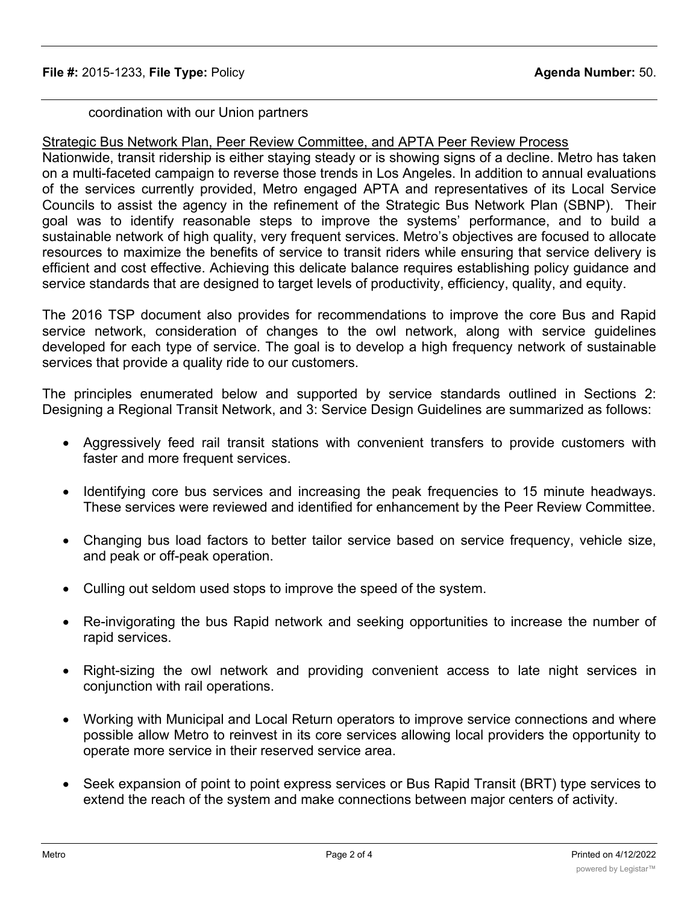# coordination with our Union partners

# Strategic Bus Network Plan, Peer Review Committee, and APTA Peer Review Process

Nationwide, transit ridership is either staying steady or is showing signs of a decline. Metro has taken on a multi-faceted campaign to reverse those trends in Los Angeles. In addition to annual evaluations of the services currently provided, Metro engaged APTA and representatives of its Local Service Councils to assist the agency in the refinement of the Strategic Bus Network Plan (SBNP). Their goal was to identify reasonable steps to improve the systems' performance, and to build a sustainable network of high quality, very frequent services. Metro's objectives are focused to allocate resources to maximize the benefits of service to transit riders while ensuring that service delivery is efficient and cost effective. Achieving this delicate balance requires establishing policy guidance and service standards that are designed to target levels of productivity, efficiency, quality, and equity.

The 2016 TSP document also provides for recommendations to improve the core Bus and Rapid service network, consideration of changes to the owl network, along with service guidelines developed for each type of service. The goal is to develop a high frequency network of sustainable services that provide a quality ride to our customers.

The principles enumerated below and supported by service standards outlined in Sections 2: Designing a Regional Transit Network, and 3: Service Design Guidelines are summarized as follows:

- · Aggressively feed rail transit stations with convenient transfers to provide customers with faster and more frequent services.
- · Identifying core bus services and increasing the peak frequencies to 15 minute headways. These services were reviewed and identified for enhancement by the Peer Review Committee.
- · Changing bus load factors to better tailor service based on service frequency, vehicle size, and peak or off-peak operation.
- · Culling out seldom used stops to improve the speed of the system.
- · Re-invigorating the bus Rapid network and seeking opportunities to increase the number of rapid services.
- Right-sizing the owl network and providing convenient access to late night services in conjunction with rail operations.
- · Working with Municipal and Local Return operators to improve service connections and where possible allow Metro to reinvest in its core services allowing local providers the opportunity to operate more service in their reserved service area.
- · Seek expansion of point to point express services or Bus Rapid Transit (BRT) type services to extend the reach of the system and make connections between major centers of activity.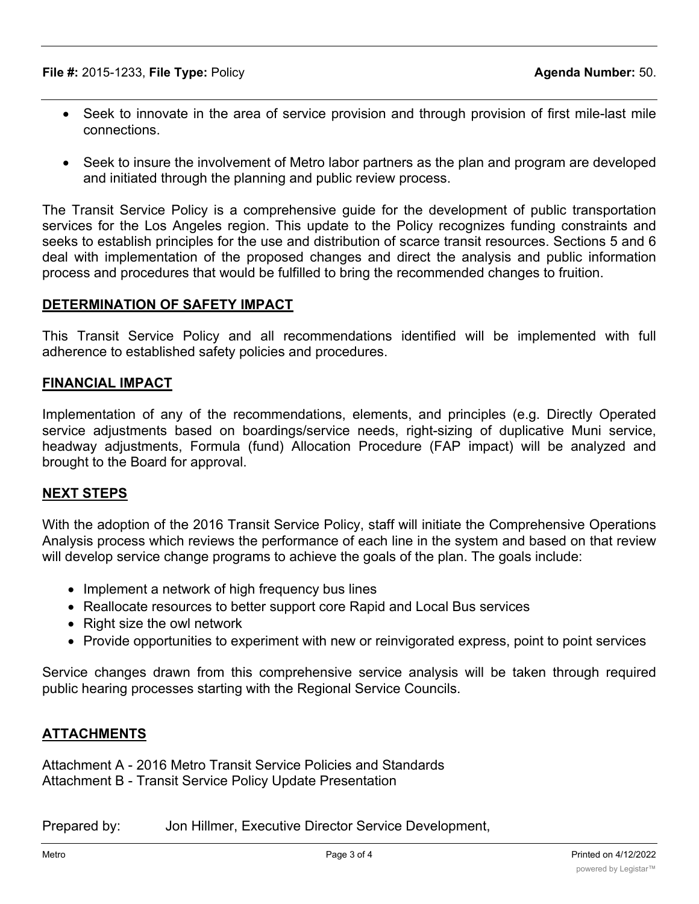**File #:** 2015-1233, **File Type:** Policy **Agenda Number:** 50.

- · Seek to innovate in the area of service provision and through provision of first mile-last mile connections.
- Seek to insure the involvement of Metro labor partners as the plan and program are developed and initiated through the planning and public review process.

The Transit Service Policy is a comprehensive guide for the development of public transportation services for the Los Angeles region. This update to the Policy recognizes funding constraints and seeks to establish principles for the use and distribution of scarce transit resources. Sections 5 and 6 deal with implementation of the proposed changes and direct the analysis and public information process and procedures that would be fulfilled to bring the recommended changes to fruition.

### **DETERMINATION OF SAFETY IMPACT**

This Transit Service Policy and all recommendations identified will be implemented with full adherence to established safety policies and procedures.

## **FINANCIAL IMPACT**

Implementation of any of the recommendations, elements, and principles (e.g. Directly Operated service adjustments based on boardings/service needs, right-sizing of duplicative Muni service, headway adjustments, Formula (fund) Allocation Procedure (FAP impact) will be analyzed and brought to the Board for approval.

## **NEXT STEPS**

With the adoption of the 2016 Transit Service Policy, staff will initiate the Comprehensive Operations Analysis process which reviews the performance of each line in the system and based on that review will develop service change programs to achieve the goals of the plan. The goals include:

- Implement a network of high frequency bus lines
- · Reallocate resources to better support core Rapid and Local Bus services
- Right size the owl network
- · Provide opportunities to experiment with new or reinvigorated express, point to point services

Service changes drawn from this comprehensive service analysis will be taken through required public hearing processes starting with the Regional Service Councils.

## **ATTACHMENTS**

Attachment A - 2016 Metro Transit Service Policies and Standards Attachment B - Transit Service Policy Update Presentation

Prepared by: Jon Hillmer, Executive Director Service Development,